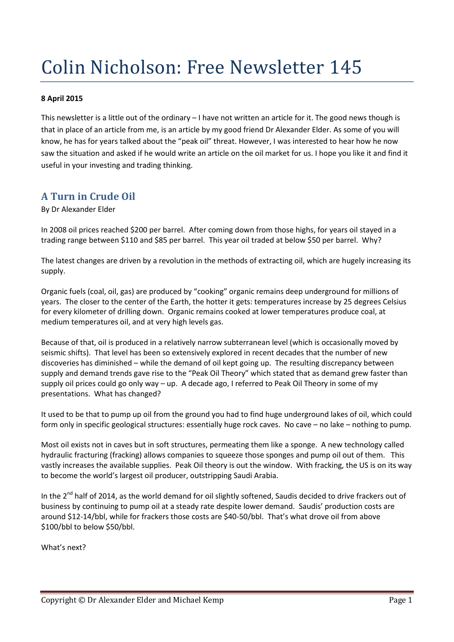# Colin Nicholson: Free Newsletter 145

#### **8 April 2015**

This newsletter is a little out of the ordinary – I have not written an article for it. The good news though is that in place of an article from me, is an article by my good friend Dr Alexander Elder. As some of you will know, he has for years talked about the "peak oil" threat. However, I was interested to hear how he now saw the situation and asked if he would write an article on the oil market for us. I hope you like it and find it useful in your investing and trading thinking.

## **A Turn in Crude Oil**

By Dr Alexander Elder

In 2008 oil prices reached \$200 per barrel. After coming down from those highs, for years oil stayed in a trading range between \$110 and \$85 per barrel. This year oil traded at below \$50 per barrel. Why?

The latest changes are driven by a revolution in the methods of extracting oil, which are hugely increasing its supply.

Organic fuels (coal, oil, gas) are produced by "cooking" organic remains deep underground for millions of years. The closer to the center of the Earth, the hotter it gets: temperatures increase by 25 degrees Celsius for every kilometer of drilling down. Organic remains cooked at lower temperatures produce coal, at medium temperatures oil, and at very high levels gas.

Because of that, oil is produced in a relatively narrow subterranean level (which is occasionally moved by seismic shifts). That level has been so extensively explored in recent decades that the number of new discoveries has diminished – while the demand of oil kept going up. The resulting discrepancy between supply and demand trends gave rise to the "Peak Oil Theory" which stated that as demand grew faster than supply oil prices could go only way – up. A decade ago, I referred to Peak Oil Theory in some of my presentations. What has changed?

It used to be that to pump up oil from the ground you had to find huge underground lakes of oil, which could form only in specific geological structures: essentially huge rock caves. No cave – no lake – nothing to pump.

Most oil exists not in caves but in soft structures, permeating them like a sponge. A new technology called hydraulic fracturing (fracking) allows companies to squeeze those sponges and pump oil out of them. This vastly increases the available supplies. Peak Oil theory is out the window. With fracking, the US is on its way to become the world's largest oil producer, outstripping Saudi Arabia.

In the  $2^{nd}$  half of 2014, as the world demand for oil slightly softened, Saudis decided to drive frackers out of business by continuing to pump oil at a steady rate despite lower demand. Saudis' production costs are around \$12-14/bbl, while for frackers those costs are \$40-50/bbl. That's what drove oil from above \$100/bbl to below \$50/bbl.

What's next?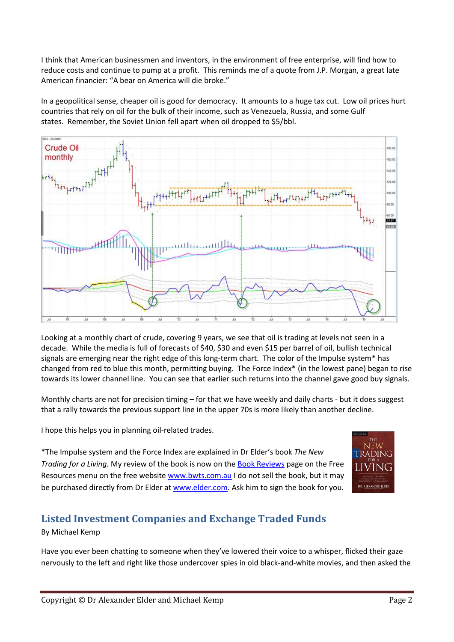I think that American businessmen and inventors, in the environment of free enterprise, will find how to reduce costs and continue to pump at a profit. This reminds me of a quote from J.P. Morgan, a great late American financier: "A bear on America will die broke."

In a geopolitical sense, cheaper oil is good for democracy. It amounts to a huge tax cut. Low oil prices hurt countries that rely on oil for the bulk of their income, such as Venezuela, Russia, and some Gulf states. Remember, the Soviet Union fell apart when oil dropped to \$5/bbl.



Looking at a monthly chart of crude, covering 9 years, we see that oil is trading at levels not seen in a decade. While the media is full of forecasts of \$40, \$30 and even \$15 per barrel of oil, bullish technical signals are emerging near the right edge of this long-term chart. The color of the Impulse system\* has changed from red to blue this month, permitting buying. The Force Index\* (in the lowest pane) began to rise towards its lower channel line. You can see that earlier such returns into the channel gave good buy signals.

Monthly charts are not for precision timing – for that we have weekly and daily charts - but it does suggest that a rally towards the previous support line in the upper 70s is more likely than another decline.

I hope this helps you in planning oil-related trades.

\*The Impulse system and the Force Index are explained in Dr Elder's book *The New Trading for a Living.* My review of the book is now on th[e Book Reviews](http://www.bwts.com.au/index.cfm/resources/book-reviews/) page on the Free Resources menu on the free website [www.bwts.com.au](http://www.bwts.com.au/) I do not sell the book, but it may be purchased directly from Dr Elder at [www.elder.com.](http://www.elder.com/) Ask him to sign the book for you.



# **Listed Investment Companies and Exchange Traded Funds**

#### By Michael Kemp

Have you ever been chatting to someone when they've lowered their voice to a whisper, flicked their gaze nervously to the left and right like those undercover spies in old black-and-white movies, and then asked the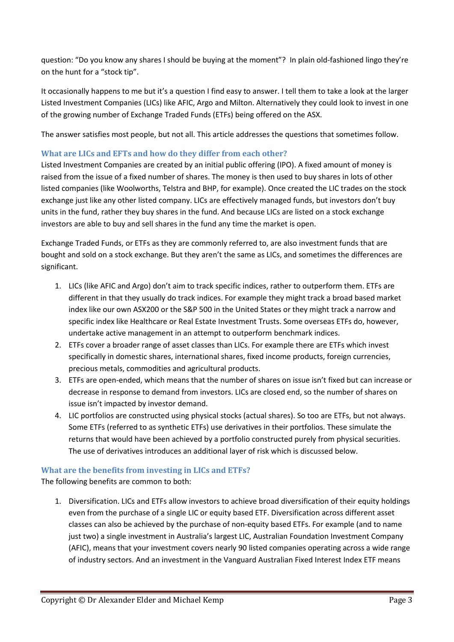question: "Do you know any shares I should be buying at the moment"? In plain old-fashioned lingo they're on the hunt for a "stock tip".

It occasionally happens to me but it's a question I find easy to answer. I tell them to take a look at the larger Listed Investment Companies (LICs) like AFIC, Argo and Milton. Alternatively they could look to invest in one of the growing number of Exchange Traded Funds (ETFs) being offered on the ASX.

The answer satisfies most people, but not all. This article addresses the questions that sometimes follow.

#### **What are LICs and EFTs and how do they differ from each other?**

Listed Investment Companies are created by an initial public offering (IPO). A fixed amount of money is raised from the issue of a fixed number of shares. The money is then used to buy shares in lots of other listed companies (like Woolworths, Telstra and BHP, for example). Once created the LIC trades on the stock exchange just like any other listed company. LICs are effectively managed funds, but investors don't buy units in the fund, rather they buy shares in the fund. And because LICs are listed on a stock exchange investors are able to buy and sell shares in the fund any time the market is open.

Exchange Traded Funds, or ETFs as they are commonly referred to, are also investment funds that are bought and sold on a stock exchange. But they aren't the same as LICs, and sometimes the differences are significant.

- 1. LICs (like AFIC and Argo) don't aim to track specific indices, rather to outperform them. ETFs are different in that they usually do track indices. For example they might track a broad based market index like our own ASX200 or the S&P 500 in the United States or they might track a narrow and specific index like Healthcare or Real Estate Investment Trusts. Some overseas ETFs do, however, undertake active management in an attempt to outperform benchmark indices.
- 2. ETFs cover a broader range of asset classes than LICs. For example there are ETFs which invest specifically in domestic shares, international shares, fixed income products, foreign currencies, precious metals, commodities and agricultural products.
- 3. ETFs are open-ended, which means that the number of shares on issue isn't fixed but can increase or decrease in response to demand from investors. LICs are closed end, so the number of shares on issue isn't impacted by investor demand.
- 4. LIC portfolios are constructed using physical stocks (actual shares). So too are ETFs, but not always. Some ETFs (referred to as synthetic ETFs) use derivatives in their portfolios. These simulate the returns that would have been achieved by a portfolio constructed purely from physical securities. The use of derivatives introduces an additional layer of risk which is discussed below.

#### **What are the benefits from investing in LICs and ETFs?**

The following benefits are common to both:

1. Diversification. LICs and ETFs allow investors to achieve broad diversification of their equity holdings even from the purchase of a single LIC or equity based ETF. Diversification across different asset classes can also be achieved by the purchase of non-equity based ETFs. For example (and to name just two) a single investment in Australia's largest LIC, Australian Foundation Investment Company (AFIC), means that your investment covers nearly 90 listed companies operating across a wide range of industry sectors. And an investment in the Vanguard Australian Fixed Interest Index ETF means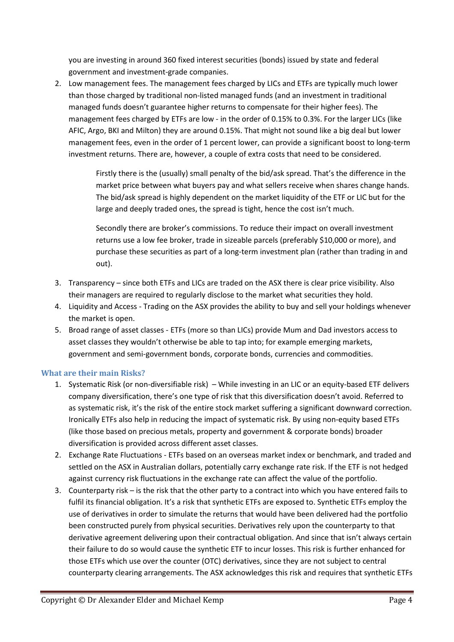you are investing in around 360 fixed interest securities (bonds) issued by state and federal government and investment-grade companies.

2. Low management fees. The management fees charged by LICs and ETFs are typically much lower than those charged by traditional non-listed managed funds (and an investment in traditional managed funds doesn't guarantee higher returns to compensate for their higher fees). The management fees charged by ETFs are low - in the order of 0.15% to 0.3%. For the larger LICs (like AFIC, Argo, BKI and Milton) they are around 0.15%. That might not sound like a big deal but lower management fees, even in the order of 1 percent lower, can provide a significant boost to long-term investment returns. There are, however, a couple of extra costs that need to be considered.

> Firstly there is the (usually) small penalty of the bid/ask spread. That's the difference in the market price between what buyers pay and what sellers receive when shares change hands. The bid/ask spread is highly dependent on the market liquidity of the ETF or LIC but for the large and deeply traded ones, the spread is tight, hence the cost isn't much.

> Secondly there are broker's commissions. To reduce their impact on overall investment returns use a low fee broker, trade in sizeable parcels (preferably \$10,000 or more), and purchase these securities as part of a long-term investment plan (rather than trading in and out).

- 3. Transparency since both ETFs and LICs are traded on the ASX there is clear price visibility. Also their managers are required to regularly disclose to the market what securities they hold.
- 4. Liquidity and Access Trading on the ASX provides the ability to buy and sell your holdings whenever the market is open.
- 5. Broad range of asset classes ETFs (more so than LICs) provide Mum and Dad investors access to asset classes they wouldn't otherwise be able to tap into; for example emerging markets, government and semi-government bonds, corporate bonds, currencies and commodities.

#### **What are their main Risks?**

- 1. Systematic Risk (or non-diversifiable risk) While investing in an LIC or an equity-based ETF delivers company diversification, there's one type of risk that this diversification doesn't avoid. Referred to as systematic risk, it's the risk of the entire stock market suffering a significant downward correction. Ironically ETFs also help in reducing the impact of systematic risk. By using non-equity based ETFs (like those based on precious metals, property and government & corporate bonds) broader diversification is provided across different asset classes.
- 2. Exchange Rate Fluctuations ETFs based on an overseas market index or benchmark, and traded and settled on the ASX in Australian dollars, potentially carry exchange rate risk. If the ETF is not hedged against currency risk fluctuations in the exchange rate can affect the value of the portfolio.
- 3. Counterparty risk is the risk that the other party to a contract into which you have entered fails to fulfil its financial obligation. It's a risk that synthetic ETFs are exposed to. Synthetic ETFs employ the use of derivatives in order to simulate the returns that would have been delivered had the portfolio been constructed purely from physical securities. Derivatives rely upon the counterparty to that derivative agreement delivering upon their contractual obligation. And since that isn't always certain their failure to do so would cause the synthetic ETF to incur losses. This risk is further enhanced for those ETFs which use over the counter (OTC) derivatives, since they are not subject to central counterparty clearing arrangements. The ASX acknowledges this risk and requires that synthetic ETFs